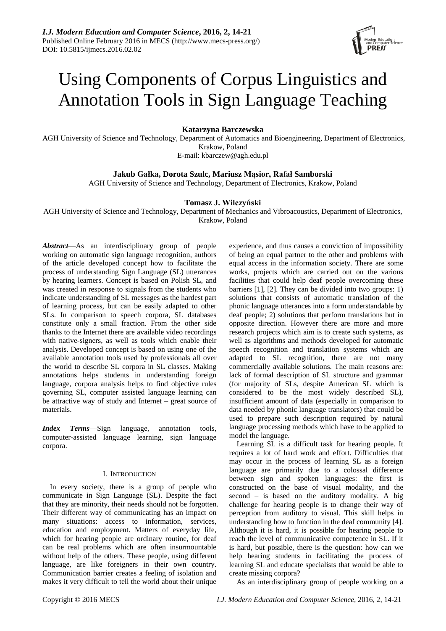

# Using Components of Corpus Linguistics and Annotation Tools in Sign Language Teaching

**Katarzyna Barczewska**

AGH University of Science and Technology, Department of Automatics and Bioengineering, Department of Electronics, Krakow, Poland E-mail: kbarczew@agh.edu.pl

**Jakub Gałka, Dorota Szulc, Mariusz Mąsior, Rafał Samborski**

AGH University of Science and Technology, Department of Electronics, Krakow, Poland

# **Tomasz J. Wilczyński**

AGH University of Science and Technology, Department of Mechanics and Vibroacoustics, Department of Electronics, Krakow, Poland

*Abstract*—As an interdisciplinary group of people working on automatic sign language recognition, authors of the article developed concept how to facilitate the process of understanding Sign Language (SL) utterances by hearing learners. Concept is based on Polish SL, and was created in response to signals from the students who indicate understanding of SL messages as the hardest part of learning process, but can be easily adapted to other SLs. In comparison to speech corpora, SL databases constitute only a small fraction. From the other side thanks to the Internet there are available video recordings with native-signers, as well as tools which enable their analysis. Developed concept is based on using one of the available annotation tools used by professionals all over the world to describe SL corpora in SL classes. Making annotations helps students in understanding foreign language, corpora analysis helps to find objective rules governing SL, computer assisted language learning can be attractive way of study and Internet – great source of materials.

*Index Terms*—Sign language, annotation tools, computer-assisted language learning, sign language corpora.

# I. INTRODUCTION

In every society, there is a group of people who communicate in Sign Language (SL). Despite the fact that they are minority, their needs should not be forgotten. Their different way of communicating has an impact on many situations: access to information, services, education and employment. Matters of everyday life, which for hearing people are ordinary routine, for deaf can be real problems which are often insurmountable without help of the others. These people, using different language, are like foreigners in their own country. Communication barrier creates a feeling of isolation and makes it very difficult to tell the world about their unique

experience, and thus causes a conviction of impossibility of being an equal partner to the other and problems with equal access in the information society. There are some works, projects which are carried out on the various facilities that could help deaf people overcoming these barriers [1], [2]. They can be divided into two groups: 1) solutions that consists of automatic translation of the phonic language utterances into a form understandable by deaf people; 2) solutions that perform translations but in opposite direction. However there are more and more research projects which aim is to create such systems, as well as algorithms and methods developed for automatic speech recognition and translation systems which are adapted to SL recognition, there are not many commercially available solutions. The main reasons are: lack of formal description of SL structure and grammar (for majority of SLs, despite American SL which is considered to be the most widely described SL), insufficient amount of data (especially in comparison to data needed by phonic language translators) that could be used to prepare such description required by natural language processing methods which have to be applied to model the language.

Learning SL is a difficult task for hearing people. It requires a lot of hard work and effort. Difficulties that may occur in the process of learning SL as a foreign language are primarily due to a colossal difference between sign and spoken languages: the first is constructed on the base of visual modality, and the second – is based on the auditory modality. A big challenge for hearing people is to change their way of perception from auditory to visual. This skill helps in understanding how to function in the deaf community [4]. Although it is hard, it is possible for hearing people to reach the level of communicative competence in SL. If it is hard, but possible, there is the question: how can we help hearing students in facilitating the process of learning SL and educate specialists that would be able to create missing corpora?

As an interdisciplinary group of people working on a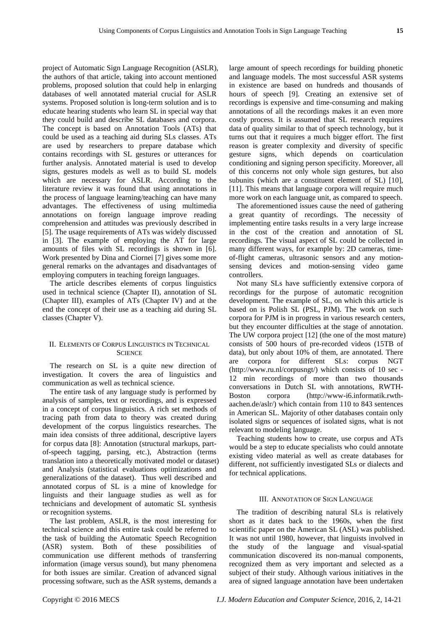project of Automatic Sign Language Recognition (ASLR), the authors of that article, taking into account mentioned problems, proposed solution that could help in enlarging databases of well annotated material crucial for ASLR systems. Proposed solution is long-term solution and is to educate hearing students who learn SL in special way that they could build and describe SL databases and corpora. The concept is based on Annotation Tools (ATs) that could be used as a teaching aid during SLs classes. ATs are used by researchers to prepare database which contains recordings with SL gestures or utterances for further analysis. Annotated material is used to develop signs, gestures models as well as to build SL models which are necessary for ASLR. According to the literature review it was found that using annotations in the process of language learning/teaching can have many advantages. The effectiveness of using multimedia annotations on foreign language improve reading comprehension and attitudes was previously described in [5]. The usage requirements of ATs was widely discussed in [3]. The example of employing the AT for large amounts of files with SL recordings is shown in [6]. Work presented by Dina and Ciornei [7] gives some more general remarks on the advantages and disadvantages of employing computers in teaching foreign languages.

The article describes elements of corpus linguistics used in technical science (Chapter II), annotation of SL (Chapter III), examples of ATs (Chapter IV) and at the end the concept of their use as a teaching aid during SL classes (Chapter V).

### II. ELEMENTS OF CORPUS LINGUISTICS IN TECHNICAL **SCIENCE**

The research on SL is a quite new direction of investigation. It covers the area of linguistics and communication as well as technical science.

The entire task of any language study is performed by analysis of samples, text or recordings, and is expressed in a concept of corpus linguistics. A rich set methods of tracing path from data to theory was created during development of the corpus linguistics researches. The main idea consists of three additional, descriptive layers for corpus data [8]: Annotation (structural markups, partof-speech tagging, parsing, etc.), Abstraction (terms translation into a theoretically motivated model or dataset) and Analysis (statistical evaluations optimizations and generalizations of the dataset). Thus well described and annotated corpus of SL is a mine of knowledge for linguists and their language studies as well as for technicians and development of automatic SL synthesis or recognition systems.

The last problem, ASLR, is the most interesting for technical science and this entire task could be referred to the task of building the Automatic Speech Recognition (ASR) system. Both of these possibilities of communication use different methods of transferring information (image versus sound), but many phenomena for both issues are similar. Creation of advanced signal processing software, such as the ASR systems, demands a

large amount of speech recordings for building phonetic and language models. The most successful ASR systems in existence are based on hundreds and thousands of hours of speech [9]. Creating an extensive set of recordings is expensive and time-consuming and making annotations of all the recordings makes it an even more costly process. It is assumed that SL research requires data of quality similar to that of speech technology, but it turns out that it requires a much bigger effort. The first reason is greater complexity and diversity of specific gesture signs, which depends on coarticulation conditioning and signing person specificity. Moreover, all of this concerns not only whole sign gestures, but also subunits (which are a constituent element of SL) [10], [11]. This means that language corpora will require much more work on each language unit, as compared to speech.

The aforementioned issues cause the need of gathering a great quantity of recordings. The necessity of implementing entire tasks results in a very large increase in the cost of the creation and annotation of SL recordings. The visual aspect of SL could be collected in many different ways, for example by: 2D cameras, timeof-flight cameras, ultrasonic sensors and any motionsensing devices and motion-sensing video game controllers.

Not many SLs have sufficiently extensive corpora of recordings for the purpose of automatic recognition development. The example of SL, on which this article is based on is Polish SL (PSL, PJM). The work on such corpora for PJM is in progress in various research centers, but they encounter difficulties at the stage of annotation. The UW corpora project [12] (the one of the most mature) consists of 500 hours of pre-recorded videos (15TB of data), but only about 10% of them, are annotated. There are corpora for different SLs: corpus NGT (http://www.ru.nl/corpusngt/) which consists of 10 sec - 12 min recordings of more than two thousands conversations in Dutch SL with annotations, RWTH-Boston corpora (http://www-i6.informatik.rwthaachen.de/aslr/) which contain from 110 to 843 sentences in American SL. Majority of other databases contain only isolated signs or sequences of isolated signs, what is not relevant to modeling language.

Teaching students how to create, use corpus and ATs would be a step to educate specialists who could annotate existing video material as well as create databases for different, not sufficiently investigated SLs or dialects and for technical applications.

### III. ANNOTATION OF SIGN LANGUAGE

The tradition of describing natural SLs is relatively short as it dates back to the 1960s, when the first scientific paper on the American SL (ASL) was published. It was not until 1980, however, that linguists involved in the study of the language and visual-spatial communication discovered its non-manual components, recognized them as very important and selected as a subject of their study. Although various initiatives in the area of signed language annotation have been undertaken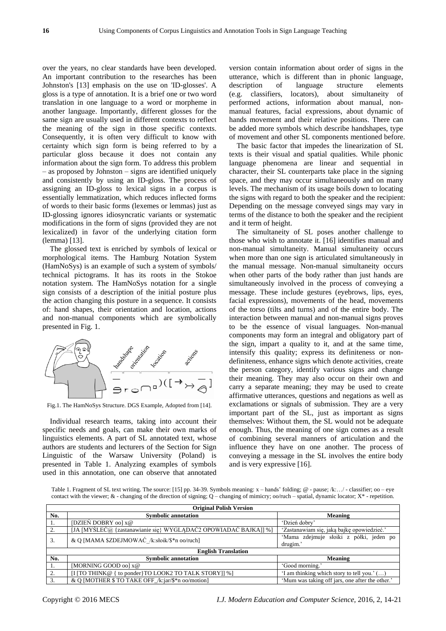over the years, no clear standards have been developed. An important contribution to the researches has been Johnston's [13] emphasis on the use on 'ID-glosses'. A gloss is a type of annotation. It is a brief one or two word translation in one language to a word or morpheme in another language. Importantly, different glosses for the same sign are usually used in different contexts to reflect the meaning of the sign in those specific contexts. Consequently, it is often very difficult to know with certainty which sign form is being referred to by a particular gloss because it does not contain any information about the sign form. To address this problem – as proposed by Johnston – signs are identified uniquely and consistently by using an ID-gloss. The process of assigning an ID-gloss to lexical signs in a corpus is essentially lemmatization, which reduces inflected forms of words to their basic forms (lexemes or lemmas) just as ID-glossing ignores idiosyncratic variants or systematic modifications in the form of signs (provided they are not lexicalized) in favor of the underlying citation form (lemma) [13].

The glossed text is enriched by symbols of lexical or morphological items. The Hamburg Notation System (HamNoSys) is an example of such a system of symbols/ technical pictograms. It has its roots in the Stokoe notation system. The HamNoSys notation for a single sign consists of a description of the initial posture plus the action changing this posture in a sequence. It consists of: hand shapes, their orientation and location, actions and non-manual components which are symbolically presented in Fig. 1.



Fig.1. The HamNoSys Structure. DGS Example, Adopted from [14].

Individual research teams, taking into account their specific needs and goals, can make their own marks of linguistics elements. A part of SL annotated text, whose authors are students and lecturers of the Section for Sign Linguistic of the Warsaw University (Poland) is presented in Table 1. Analyzing examples of symbols used in this annotation, one can observe that annotated

version contain information about order of signs in the utterance, which is different than in phonic language, description of language structure elements (e.g. classifiers, locators), about simultaneity of performed actions, information about manual, nonmanual features, facial expressions, about dynamic of hands movement and their relative positions. There can be added more symbols which describe handshapes, type of movement and other SL components mentioned before.

The basic factor that impedes the linearization of SL texts is their visual and spatial qualities. While phonic language phenomena are linear and sequential in character, their SL counterparts take place in the signing space, and they may occur simultaneously and on many levels. The mechanism of its usage boils down to locating the signs with regard to both the speaker and the recipient: Depending on the message conveyed sings may vary in terms of the distance to both the speaker and the recipient and it term of height.

The simultaneity of SL poses another challenge to those who wish to annotate it. [16] identifies manual and non-manual simultaneity. Manual simultaneity occurs when more than one sign is articulated simultaneously in the manual message. Non-manual simultaneity occurs when other parts of the body rather than just hands are simultaneously involved in the process of conveying a message. These include gestures (eyebrows, lips, eyes, facial expressions), movements of the head, movements of the torso (tilts and turns) and of the entire body. The interaction between manual and non-manual signs proves to be the essence of visual languages. Non-manual components may form an integral and obligatory part of the sign, impart a quality to it, and at the same time, intensify this quality; express its definiteness or nondefiniteness, enhance signs which denote activities, create the person category, identify various signs and change their meaning. They may also occur on their own and carry a separate meaning; they may be used to create affirmative utterances, questions and negations as well as exclamations or signals of submission. They are a very important part of the SL, just as important as signs themselves: Without them, the SL would not be adequate enough. Thus, the meaning of one sign comes as a result of combining several manners of articulation and the influence they have on one another. The process of conveying a message in the SL involves the entire body and is very expressive [16].

Table 1. Fragment of SL text writing. The source: [15] pp. 34-39. Symbols meaning: x – hands' folding; @ - pause; /k:…/ - classifier; oo – eye contact with the viewer;  $\&$  - changing of the direction of signing;  $Q$  – changing of mimicry; oo/ruch – spatial, dynamic locator;  $X^*$  - repetition.

| <b>Original Polish Version</b> |                                                                 |                                                     |  |  |  |
|--------------------------------|-----------------------------------------------------------------|-----------------------------------------------------|--|--|--|
| No.                            | <b>Symbolic annotation</b>                                      | Meaning                                             |  |  |  |
| 1.                             | [DZIEŃ DOBRY 00] x@                                             | 'Dzień dobry'                                       |  |  |  |
| 2.                             | [JA [MYŚLEC@ {zastanawianie się} WYGLADAC2 OPOWIADAC BAJKA]] %] | 'Zastanawiam się, jaką bajkę opowiedzieć.'          |  |  |  |
| 3.                             | & Q [MAMA \$ZDEJMOWAĆ /k:słoik/\$*n oo/ruch]                    | 'Mama zdejmuje słoiki z półki, jeden po<br>drugim.' |  |  |  |
| <b>English Translation</b>     |                                                                 |                                                     |  |  |  |
| No.                            | <b>Symbolic annotation</b>                                      | Meaning                                             |  |  |  |
|                                | [MORNING GOOD oo] x@                                            | 'Good morning.'                                     |  |  |  |
| 2.                             | [I [TO THINK@ { to ponder } TO LOOK2 TO TALK STORY]] %]         | 'I am thinking which story to tell you.' ()         |  |  |  |
|                                | & O [MOTHER \$ TO TAKE OFF /k:jar/\$*n oo/motion]               | 'Mum was taking off jars, one after the other.'     |  |  |  |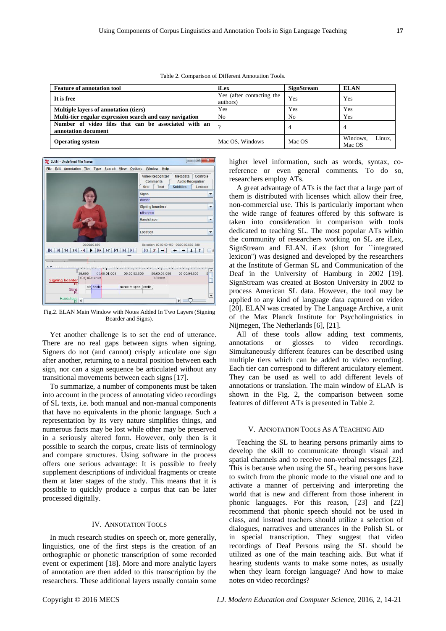| <b>Feature of annotation tool</b>                                           | iLex                                  | <b>SignStream</b> | <b>ELAN</b>                  |
|-----------------------------------------------------------------------------|---------------------------------------|-------------------|------------------------------|
| It is free                                                                  | Yes (after contacting the<br>authors) | Yes               | Yes                          |
| Multiple layers of annotation (tiers)                                       | Yes                                   | Yes               | Yes                          |
| Multi-tier regular expression search and easy navigation                    | No                                    | N <sub>0</sub>    | Yes                          |
| Number of video files that can be associated with an<br>annotation document | $\gamma$                              | 4                 | 4                            |
| <b>Operating system</b>                                                     | Mac OS, Windows                       | Mac OS            | Linux.<br>Windows.<br>Mac OS |

Table 2. Comparison of Different Annotation Tools.



Fig.2. ELAN Main Window with Notes Added In Two Layers (Signing Boarder and Signs).

Yet another challenge is to set the end of utterance. There are no real gaps between signs when signing. Signers do not (and cannot) crisply articulate one sign after another, returning to a neutral position between each sign, nor can a sign sequence be articulated without any transitional movements between each signs [17].

To summarize, a number of components must be taken into account in the process of annotating video recordings of SL texts, i.e. both manual and non-manual components that have no equivalents in the phonic language. Such a representation by its very nature simplifies things, and numerous facts may be lost while other may be preserved in a seriously altered form. However, only then is it possible to search the corpus, create lists of terminology and compare structures. Using software in the process offers one serious advantage: It is possible to freely supplement descriptions of individual fragments or create them at later stages of the study. This means that it is possible to quickly produce a corpus that can be later processed digitally.

## IV. ANNOTATION TOOLS

In much research studies on speech or, more generally, linguistics, one of the first steps is the creation of an orthographic or phonetic transcription of some recorded event or experiment [18]. More and more analytic layers of annotation are then added to this transcription by the researchers. These additional layers usually contain some higher level information, such as words, syntax, coreference or even general comments. To do so, researchers employ ATs.

A great advantage of ATs is the fact that a large part of them is distributed with licenses which allow their free, non-commercial use. This is particularly important when the wide range of features offered by this software is taken into consideration in comparison with tools dedicated to teaching SL. The most popular ATs within the community of researchers working on SL are iLex, SignStream and ELAN. iLex (short for ``integrated lexicon'') was designed and developed by the researchers at the Institute of German SL and Communication of the Deaf in the University of Hamburg in 2002 [19]. SignStream was created at Boston University in 2002 to process American SL data. However, the tool may be applied to any kind of language data captured on video [20]. ELAN was created by The Language Archive, a unit of the Max Planck Institute for Psycholinguistics in Nijmegen, The Netherlands [6], [21].

All of these tools allow adding text comments, annotations or glosses to video recordings. Simultaneously different features can be described using multiple tiers which can be added to video recording. Each tier can correspond to different articulatory element. They can be used as well to add different levels of annotations or translation. The main window of ELAN is shown in the Fig. 2, the comparison between some features of different ATs is presented in Table 2.

### V. ANNOTATION TOOLS AS A TEACHING AID

Teaching the SL to hearing persons primarily aims to develop the skill to communicate through visual and spatial channels and to receive non-verbal messages [22]. This is because when using the SL, hearing persons have to switch from the phonic mode to the visual one and to activate a manner of perceiving and interpreting the world that is new and different from those inherent in phonic languages. For this reason, [23] and [22] recommend that phonic speech should not be used in class, and instead teachers should utilize a selection of dialogues, narratives and utterances in the Polish SL or in special transcription. They suggest that video recordings of Deaf Persons using the SL should be utilized as one of the main teaching aids. But what if hearing students wants to make some notes, as usually when they learn foreign language? And how to make notes on video recordings?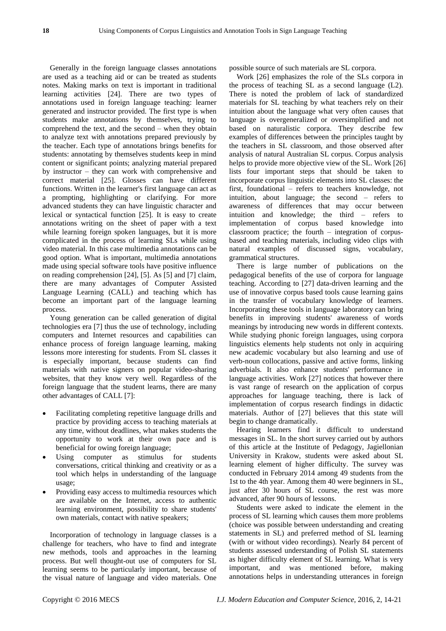Generally in the foreign language classes annotations are used as a teaching aid or can be treated as students notes. Making marks on text is important in traditional learning activities [24]. There are two types of annotations used in foreign language teaching: learner generated and instructor provided. The first type is when students make annotations by themselves, trying to comprehend the text, and the second – when they obtain to analyze text with annotations prepared previously by the teacher. Each type of annotations brings benefits for students: annotating by themselves students keep in mind content or significant points; analyzing material prepared by instructor – they can work with comprehensive and correct material [25]. Glosses can have different functions. Written in the learner's first language can act as a prompting, highlighting or clarifying. For more advanced students they can have linguistic character and lexical or syntactical function [25]. It is easy to create annotations writing on the sheet of paper with a text while learning foreign spoken languages, but it is more complicated in the process of learning SLs while using video material. In this case multimedia annotations can be good option. What is important, multimedia annotations made using special software tools have positive influence on reading comprehension [24], [5]. As [5] and [7] claim, there are many advantages of Computer Assisted Language Learning (CALL) and teaching which has become an important part of the language learning process.

Young generation can be called generation of digital technologies era [7] thus the use of technology, including computers and Internet resources and capabilities can enhance process of foreign language learning, making lessons more interesting for students. From SL classes it is especially important, because students can find materials with native signers on popular video-sharing websites, that they know very well. Regardless of the foreign language that the student learns, there are many other advantages of CALL [7]:

- Facilitating completing repetitive language drills and practice by providing access to teaching materials at any time, without deadlines, what makes students the opportunity to work at their own pace and is beneficial for owing foreign language;
- Using computer as stimulus for students conversations, critical thinking and creativity or as a tool which helps in understanding of the language usage;
- Providing easy access to multimedia resources which are available on the Internet, access to authentic learning environment, possibility to share students' own materials, contact with native speakers;

Incorporation of technology in language classes is a challenge for teachers, who have to find and integrate new methods, tools and approaches in the learning process. But well thought-out use of computers for SL learning seems to be particularly important, because of the visual nature of language and video materials. One

possible source of such materials are SL corpora.

Work [26] emphasizes the role of the SLs corpora in the process of teaching SL as a second language (L2). There is noted the problem of lack of standardized materials for SL teaching by what teachers rely on their intuition about the language what very often causes that language is overgeneralized or oversimplified and not based on naturalistic corpora. They describe few examples of differences between the principles taught by the teachers in SL classroom, and those observed after analysis of natural Australian SL corpus. Corpus analysis helps to provide more objective view of the SL. Work [26] lists four important steps that should be taken to incorporate corpus linguistic elements into SL classes: the first, foundational – refers to teachers knowledge, not intuition, about language; the second – refers to awareness of differences that may occur between intuition and knowledge; the third – refers to implementation of corpus based knowledge into classroom practice; the fourth – integration of corpusbased and teaching materials, including video clips with natural examples of discussed signs, vocabulary, grammatical structures.

There is large number of publications on the pedagogical benefits of the use of corpora for language teaching. According to [27] data-driven learning and the use of innovative corpus based tools cause learning gains in the transfer of vocabulary knowledge of learners. Incorporating these tools in language laboratory can bring benefits in improving students' awareness of words meanings by introducing new words in different contexts. While studying phonic foreign languages, using corpora linguistics elements help students not only in acquiring new academic vocabulary but also learning and use of verb-noun collocations, passive and active forms, linking adverbials. It also enhance students' performance in language activities. Work [27] notices that however there is vast range of research on the application of corpus approaches for language teaching, there is lack of implementation of corpus research findings in didactic materials. Author of [27] believes that this state will begin to change dramatically.

Hearing learners find it difficult to understand messages in SL. In the short survey carried out by authors of this article at the Institute of Pedagogy, Jagiellonian University in Krakow, students were asked about SL learning element of higher difficulty. The survey was conducted in February 2014 among 49 students from the 1st to the 4th year. Among them 40 were beginners in SL, just after 30 hours of SL course, the rest was more advanced, after 90 hours of lessons.

Students were asked to indicate the element in the process of SL learning which causes them more problems (choice was possible between understanding and creating statements in SL) and preferred method of SL learning (with or without video recordings). Nearly 84 percent of students assessed understanding of Polish SL statements as higher difficulty element of SL learning. What is very important, and was mentioned before, making annotations helps in understanding utterances in foreign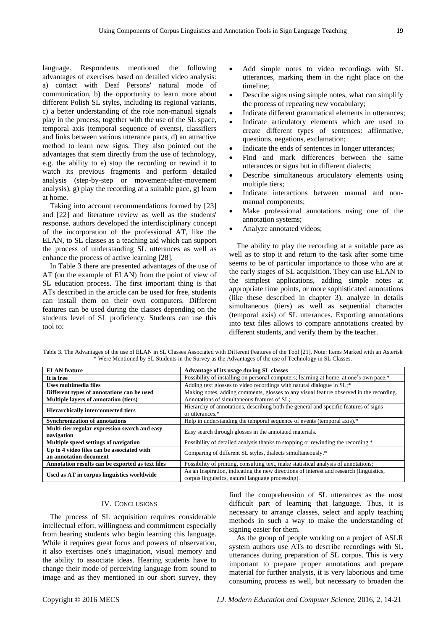language. Respondents mentioned the following advantages of exercises based on detailed video analysis: a) contact with Deaf Persons' natural mode of communication, b) the opportunity to learn more about different Polish SL styles, including its regional variants, c) a better understanding of the role non-manual signals play in the process, together with the use of the SL space, temporal axis (temporal sequence of events), classifiers and links between various utterance parts, d) an attractive method to learn new signs. They also pointed out the advantages that stem directly from the use of technology, e.g. the ability to e) stop the recording or rewind it to watch its previous fragments and perform detailed analysis (step-by-step or movement-after-movement analysis), g) play the recording at a suitable pace, g) learn at home.

Taking into account recommendations formed by [23] and [22] and literature review as well as the students' response, authors developed the interdisciplinary concept of the incorporation of the professional AT, like the ELAN, to SL classes as a teaching aid which can support the process of understanding SL utterances as well as enhance the process of active learning [28].

In Table 3 there are presented advantages of the use of AT (on the example of ELAN) from the point of view of SL education process. The first important thing is that ATs described in the article can be used for free, students can install them on their own computers. Different features can be used during the classes depending on the students level of SL proficiency. Students can use this tool to:

- Add simple notes to video recordings with SL utterances, marking them in the right place on the timeline;
- Describe signs using simple notes, what can simplify the process of repeating new vocabulary;
- Indicate different grammatical elements in utterances;
- Indicate articulatory elements which are used to create different types of sentences: affirmative, questions, negations, exclamation;
- Indicate the ends of sentences in longer utterances;
- Find and mark differences between the same utterances or signs but in different dialects;
- Describe simultaneous articulatory elements using multiple tiers;
- Indicate interactions between manual and nonmanual components;
- Make professional annotations using one of the annotation systems;
- Analyze annotated videos;

The ability to play the recording at a suitable pace as well as to stop it and return to the task after some time seems to be of particular importance to those who are at the early stages of SL acquisition. They can use ELAN to the simplest applications, adding simple notes at appropriate time points, or more sophisticated annotations (like these described in chapter 3), analyze in details simultaneous (tiers) as well as sequential character (temporal axis) of SL utterances. Exporting annotations into text files allows to compare annotations created by different students, and verify them by the teacher.

| Table 3. The Advantages of the use of ELAN in SL Classes Associated with Different Features of the Tool [21]. Note: Items Marked with an Asterisk |
|---------------------------------------------------------------------------------------------------------------------------------------------------|
| * Were Mentioned by SL Students in the Survey as the Advantages of the use of Technology in SL Classes.                                           |

| <b>ELAN</b> feature                                                  | Advantage of its usage during SL classes                                                                                                     |
|----------------------------------------------------------------------|----------------------------------------------------------------------------------------------------------------------------------------------|
| It is free                                                           | Possibility of installing on personal computers; learning at home, at one's own pace.*                                                       |
| <b>Uses multimedia files</b>                                         | Adding text glosses to video recordings with natural dialogue in SL;*                                                                        |
| Different types of annotations can be used                           | Making notes, adding comments, glosses to any visual feature observed in the recording.                                                      |
| <b>Multiple lavers of annotation (tiers)</b>                         | Annotations of simultaneous features of SL;.                                                                                                 |
| <b>Hierarchically interconnected tiers</b>                           | Hierarchy of annotations, describing both the general and specific features of signs<br>or utterances.*                                      |
| <b>Synchronization of annotations</b>                                | Help in understanding the temporal sequence of events (temporal axis).*                                                                      |
| Multi-tier regular expression search and easy<br>navigation          | Easy search through glosses in the annotated materials.                                                                                      |
| Multiple speed settings of navigation                                | Possibility of detailed analysis thanks to stopping or rewinding the recording *                                                             |
| Up to 4 video files can be associated with<br>an annotation document | Comparing of different SL styles, dialects simultaneously.*                                                                                  |
| Annotation results can be exported as text files                     | Possibility of printing, consulting text, make statistical analysis of annotations;                                                          |
| Used as AT in corpus linguistics worldwide                           | As an Inspiration, indicating the new directions of interest and research (linguistics,<br>corpus linguistics, natural language processing). |

#### IV. CONCLUSIONS

The process of SL acquisition requires considerable intellectual effort, willingness and commitment especially from hearing students who begin learning this language. While it requires great focus and powers of observation, it also exercises one's imagination, visual memory and the ability to associate ideas. Hearing students have to change their mode of perceiving language from sound to image and as they mentioned in our short survey, they

find the comprehension of SL utterances as the most difficult part of learning that language. Thus, it is necessary to arrange classes, select and apply teaching methods in such a way to make the understanding of signing easier for them.

As the group of people working on a project of ASLR system authors use ATs to describe recordings with SL utterances during preparation of SL corpus. This is very important to prepare proper annotations and prepare material for further analysis, it is very laborious and time consuming process as well, but necessary to broaden the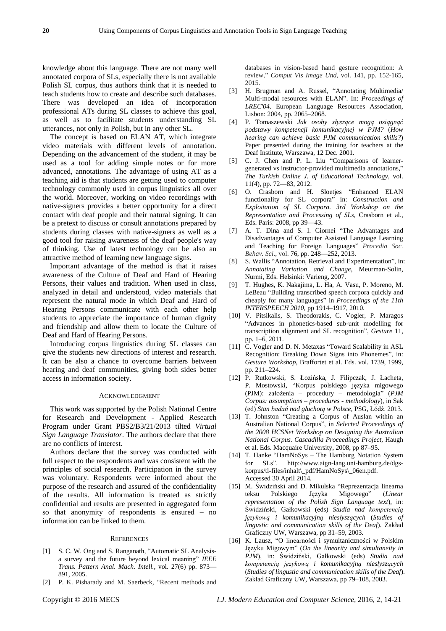knowledge about this language. There are not many well annotated corpora of SLs, especially there is not available Polish SL corpus, thus authors think that it is needed to teach students how to create and describe such databases. There was developed an idea of incorporation professional ATs during SL classes to achieve this goal, as well as to facilitate students understanding SL utterances, not only in Polish, but in any other SL.

The concept is based on ELAN AT, which integrate video materials with different levels of annotation. Depending on the advancement of the student, it may be used as a tool for adding simple notes or for more advanced, annotations. The advantage of using AT as a teaching aid is that students are getting used to computer technology commonly used in corpus linguistics all over the world. Moreover, working on video recordings with native-signers provides a better opportunity for a direct contact with deaf people and their natural signing. It can be a pretext to discuss or consult annotations prepared by students during classes with native-signers as well as a good tool for raising awareness of the deaf people's way of thinking. Use of latest technology can be also an attractive method of learning new language signs.

Important advantage of the method is that it raises awareness of the Culture of Deaf and Hard of Hearing Persons, their values and tradition. When used in class, analyzed in detail and understood, video materials that represent the natural mode in which Deaf and Hard of Hearing Persons communicate with each other help students to appreciate the importance of human dignity and friendship and allow them to locate the Culture of Deaf and Hard of Hearing Persons.

Introducing corpus linguistics during SL classes can give the students new directions of interest and research. It can be also a chance to overcome barriers between hearing and deaf communities, giving both sides better access in information society.

#### ACKNOWLEDGMENT

This work was supported by the Polish National Centre for Research and Development - Applied Research Program under Grant PBS2/B3/21/2013 tilted *Virtual Sign Language Translator*. The authors declare that there are no conflicts of interest.

Authors declare that the survey was conducted with full respect to the respondents and was consistent with the principles of social research. Participation in the survey was voluntary. Respondents were informed about the purpose of the research and assured of the confidentiality of the results. All information is treated as strictly confidential and results are presented in aggregated form so that anonymity of respondents is ensured – no information can be linked to them.

## **REFERENCES**

- [1] S. C. W. Ong and S. Ranganath, "Automatic SL Analysisa survey and the future beyond lexical meaning" *IEEE Trans. Pattern Anal. Mach. Intell.,* vol. 27(6) pp. 873— 891, 2005.
- [2] P. K. Pisharady and M. Saerbeck, "Recent methods and

databases in vision-based hand gesture recognition: A review," *Comput Vis Image Und*, vol. 141, pp. 152-165, 2015.

- [3] H. Brugman and A. Russel, "Annotating Multimedia/ Multi-modal resources with ELAN". In: *Proceedings of LREC'04*. European Language Resources Association, Lisbon: 2004, pp. 2065–2068.
- [4] P. Tomaszewski *Jak osoby słyszące mogą osiągnąć podstawy kompetencji komunikacyjnej w PJM?* (*How hearing can achieve basic PJM communication skills?*) Paper presented during the training for teachers at the Deaf Institute, Warszawa, 12 Dec. 2001.
- [5] C. J. Chen and P. L. Liu "Comparisons of learnergenerated vs instructor-provided multimedia annotations," *The Turkish Online J. of Educational Technology,* vol. 11(4), pp. 72—83, 2012.
- [6] O. Crasborn and H. Sloetjes "Enhanced ELAN functionality for SL corpora" in: *Construction and Exploitation of SL Corpora. 3rd Workshop on the Representation and Processing of SLs*, Crasborn et al., Eds. Paris: 2008, pp 39—43.
- [7] A. T. Dina and S. I. Ciornei "The Advantages and Disadvantages of Computer Assisted Language Learning and Teaching for Foreign Languages" *Procedia Soc. Behav. Sci*., vol. 76, pp. 248—252, 2013.
- [8] S. Wallis "Annotation, Retrieval and Experimentation", in: *Annotating Variation and Change*, Meurman-Solin, Nurmi, Eds. Helsinki: Varieng, 2007.
- [9] T. Hughes, K. Nakajima, L. Ha, A. Vasu, P. Moreno, M. LeBeau "Building transcribed speech corpora quickly and cheaply for many languages" in *Proceedings of the 11th INTERSPEECH 2010*, pp 1914–1917, 2010.
- [10] V. Pitsikalis, S. Theodorakis, C. Vogler, P. Maragos "Advances in phonetics-based sub-unit modelling for transcription alignment and SL recognition", *Gesture* 11, pp. 1–6, 2011.
- [11] C. Vogler and D. N. Metaxas "Toward Scalability in ASL Recognition: Breaking Down Signs into Phonemes", in: *Gesture Workshop*, Braffortet et al. Eds. vol. 1739, 1999, pp. 211–224.
- [12] P. Rutkowski, S. Łozińska, J. Filipczak, J. Łacheta, P. Mostowski, "Korpus polskiego języka migowego (PJM): założenia – procedury – metodologia" (*PJM Corpus: assumptions – procedures - methodology*), in Sak (ed) *Stan badań nad głuchotą w Polsce*, PSG, Łódź. 2013.
- [13] T. Johnston "Creating a Corpus of Auslan within an Australian National Corpus", in *Selected Proceedings of the 2008 HCSNet Workshop on Designing the Australian National Corpus. Cascadilla Proceedings Project*, Haugh et al. Eds. Macquaire University, 2008, pp 87–95.
- [14] T. Hanke "HamNoSys The Hamburg Notation System for SLs". http://www.aign-lang.uni-hamburg.de/dgskorpus/tl-files/inhalt\\_pdf/HamNoSys\\_06en.pdf. Accessed 30 April 2014.
- [15] M. Świdziński and D. Mikulska "Reprezentacja linearna teksu Polskiego Języka Migowego" (*Linear representation of the Polish Sign Language text*), in: Świdziński, Gałkowski (eds) *Studia nad kompetencją językową i komunikacyjną niesłyszących* (*Studies of lingustic and communication skills of the Deaf*). Zakład Graficzny UW, Warszawa, pp 31–59, 2003.
- [16] K. Lausz, "O linearności i symultaniczności w Polskim Języku Migowym" (*On the linearity and simultaneity in PJM*), in: Świdziński, Gałkowski (eds) *Studia nad kompetencją językową i komunikacyjną niesłyszących* (*Studies of lingustic and communication skills of the Deaf*). Zakład Graficzny UW, Warszawa, pp 79–108, 2003.